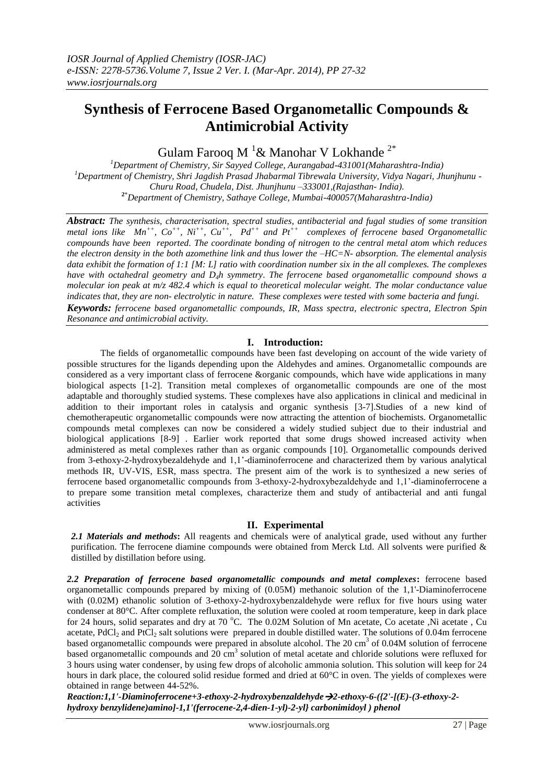# **Synthesis of Ferrocene Based Organometallic Compounds & Antimicrobial Activity**

Gulam Farooq M<sup>1</sup> & Manohar V Lokhande<sup>2\*</sup>

*Department of Chemistry, Sir Sayyed College, Aurangabad-431001(Maharashtra-India) Department of Chemistry, Shri Jagdish Prasad Jhabarmal Tibrewala University, Vidya Nagari, Jhunjhunu - Churu Road, Chudela, Dist. Jhunjhunu –333001,(Rajasthan- India).* \**Department of Chemistry, Sathaye College, Mumbai-400057(Maharashtra-India)*

*Abstract: The synthesis, characterisation, spectral studies, antibacterial and fugal studies of some transition metal ions like Mn++, Co++ , Ni++ , Cu++ , Pd++ and Pt++ complexes of ferrocene based Organometallic compounds have been reported. The coordinate bonding of nitrogen to the central metal atom which reduces the electron density in the both azomethine link and thus lower the –HC=N- absorption. The elemental analysis data exhibit the formation of 1:1 [M: L] ratio with coordination number six in the all complexes. The complexes have with octahedral geometry and D4h symmetry*. *The ferrocene based organometallic compound shows a molecular ion peak at m/z 482.4 which is equal to theoretical molecular weight. The molar conductance value indicates that, they are non- electrolytic in nature. These complexes were tested with some bacteria and fungi. Keywords: ferrocene based organometallic compounds, IR, Mass spectra, electronic spectra, Electron Spin Resonance and antimicrobial activity.*

## **I. Introduction:**

The fields of organometallic compounds have been fast developing on account of the wide variety of possible structures for the ligands depending upon the Aldehydes and amines. Organometallic compounds are considered as a very important class of ferrocene &organic compounds, which have wide applications in many biological aspects [1-2]. Transition metal complexes of organometallic compounds are one of the most adaptable and thoroughly studied systems. These complexes have also applications in clinical and medicinal in addition to their important roles in catalysis and organic synthesis [3-7].Studies of a new kind of chemotherapeutic organometallic compounds were now attracting the attention of biochemists. Organometallic compounds metal complexes can now be considered a widely studied subject due to their industrial and biological applications [8-9] . Earlier work reported that some drugs showed increased activity when administered as metal complexes rather than as organic compounds [10]. Organometallic compounds derived from 3-ethoxy-2-hydroxybezaldehyde and 1,1'-diaminoferrocene and characterized them by various analytical methods IR, UV-VIS, ESR, mass spectra. The present aim of the work is to synthesized a new series of ferrocene based organometallic compounds from 3-ethoxy-2-hydroxybezaldehyde and 1,1'-diaminoferrocene a to prepare some transition metal complexes, characterize them and study of antibacterial and anti fungal activities

## **II. Experimental**

*2.1 Materials and methods***:** All reagents and chemicals were of analytical grade, used without any further purification. The ferrocene diamine compounds were obtained from Merck Ltd. All solvents were purified & distilled by distillation before using.

*2.2 Preparation of ferrocene based organometallic compounds and metal complexes***:** ferrocene based organometallic compounds prepared by mixing of (0.05M) methanoic solution of the 1,1'-Diaminoferrocene with (0.02M) ethanolic solution of 3-ethoxy-2-hydroxybenzaldehyde were reflux for five hours using water condenser at 80°C. After complete refluxation, the solution were cooled at room temperature, keep in dark place for 24 hours, solid separates and dry at 70 °C. The 0.02M Solution of Mn acetate, Co acetate, Ni acetate, Cu acetate,  $PdCl<sub>2</sub>$  and  $PtCl<sub>2</sub>$  salt solutions were prepared in double distilled water. The solutions of 0.04m ferrocene based organometallic compounds were prepared in absolute alcohol. The 20 cm<sup>3</sup> of 0.04M solution of ferrocene based organometallic compounds and  $20 \text{ cm}^3$  solution of metal acetate and chloride solutions were refluxed for 3 hours using water condenser, by using few drops of alcoholic ammonia solution. This solution will keep for 24 hours in dark place, the coloured solid residue formed and dried at 60°C in oven. The yields of complexes were obtained in range between 44-52%.

*Reaction:1,1'-Diaminoferrocene+3-ethoxy-2-hydroxybenzaldehyde2-ethoxy-6-({2'-[(E)-(3-ethoxy-2 hydroxy benzylidene)amino]-1,1'(ferrocene-2,4-dien-1-yl)-2-yl} carbonimidoyl ) phenol*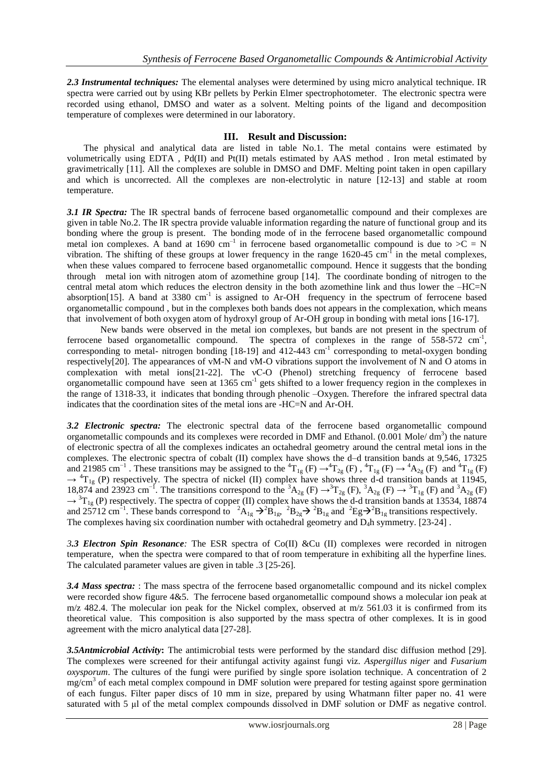*2.3 Instrumental techniques:* The elemental analyses were determined by using micro analytical technique. IR spectra were carried out by using KBr pellets by Perkin Elmer spectrophotometer. The electronic spectra were recorded using ethanol, DMSO and water as a solvent. Melting points of the ligand and decomposition temperature of complexes were determined in our laboratory.

## **III. Result and Discussion:**

The physical and analytical data are listed in table No.1. The metal contains were estimated by volumetrically using EDTA , Pd(II) and Pt(II) metals estimated by AAS method . Iron metal estimated by gravimetrically [11]. All the complexes are soluble in DMSO and DMF. Melting point taken in open capillary and which is uncorrected. All the complexes are non-electrolytic in nature [12-13] and stable at room temperature.

*3.1 IR Spectra:* The IR spectral bands of ferrocene based organometallic compound and their complexes are given in table No.2. The IR spectra provide valuable information regarding the nature of functional group and its bonding where the group is present. The bonding mode of in the ferrocene based organometallic compound metal ion complexes. A band at 1690 cm<sup>-1</sup> in ferrocene based organometallic compound is due to  $>\overline{C} = N$ vibration. The shifting of these groups at lower frequency in the range  $1620-45$  cm<sup>-1</sup> in the metal complexes, when these values compared to ferrocene based organometallic compound. Hence it suggests that the bonding through metal ion with nitrogen atom of azomethine group [14]. The coordinate bonding of nitrogen to the central metal atom which reduces the electron density in the both azomethine link and thus lower the –HC=N absorption[15]. A band at 3380  $cm<sup>-1</sup>$  is assigned to Ar-OH frequency in the spectrum of ferrocene based organometallic compound , but in the complexes both bands does not appears in the complexation, which means that involvement of both oxygen atom of hydroxyl group of Ar-OH group in bonding with metal ions [16-17].

New bands were observed in the metal ion complexes, but bands are not present in the spectrum of ferrocene based organometallic compound. The spectra of complexes in the range of  $558-572$  cm<sup>-1</sup>, corresponding to metal- nitrogen bonding  $[18-19]$  and  $412-443$  cm<sup>-1</sup> corresponding to metal-oxygen bonding respectively[20]. The appearances of vM-N and vM-O vibrations support the involvement of N and O atoms in complexation with metal ions[21-22]. The νC-O (Phenol) stretching frequency of ferrocene based organometallic compound have seen at 1365 cm<sup>-1</sup> gets shifted to a lower frequency region in the complexes in the range of 1318-33, it indicates that bonding through phenolic –Oxygen. Therefore the infrared spectral data indicates that the coordination sites of the metal ions are -HC=N and Ar-OH.

*3.2 Electronic spectra:* The electronic spectral data of the ferrocene based organometallic compound organometallic compounds and its complexes were recorded in DMF and Ethanol. (0.001 Mole/dm<sup>3</sup>) the nature of electronic spectra of all the complexes indicates an octahedral geometry around the central metal ions in the complexes. The electronic spectra of cobalt (II) complex have shows the d–d transition bands at 9,546, 17325 and 21985 cm<sup>-1</sup>. These transitions may be assigned to the <sup>4</sup>T<sub>1g</sub> (F)  $\rightarrow$ <sup>4</sup>T<sub>2g</sub> (F), <sup>4</sup>T<sub>1g</sub> (F)  $\rightarrow$  <sup>4</sup>A<sub>2g</sub> (F) and <sup>4</sup>T<sub>1g</sub> (F)  $\rightarrow$  <sup>4</sup>T<sub>1g</sub> (P) respectively. The spectra of nickel (II) complex have shows three d-d transition bands at 11945, 18,874 and 23923 cm<sup>-1</sup>. The transitions correspond to the <sup>3</sup>A<sub>2g</sub> (F)  $\rightarrow$ <sup>3</sup>T<sub>2g</sub> (F), <sup>3</sup>A<sub>2g</sub> (F)  $\rightarrow$ <sup>3</sup>T<sub>1g</sub> (F) and <sup>3</sup>A<sub>2g</sub> (F)  $\rightarrow$ <sup>3</sup>T<sub>1g</sub> (P) respectively. The spectra of copper (II) complex have shows the d-d transition bands at 13534, 18874 and 25712 cm<sup>-1</sup>. These bands correspond to <sup>2</sup>A<sub>1g</sub>  $\rightarrow$ <sup>2</sup>B<sub>1g</sub>, <sup>2</sup>B<sub>2g</sub>  $\rightarrow$  <sup>2</sup>B<sub>1g</sub> and <sup>2</sup>Eg  $\rightarrow$ <sup>2</sup>B<sub>1g</sub> transitions respectively. The complexes having six coordination number with octahedral geometry and  $D_4$ h symmetry. [23-24].

*3.3 Electron Spin Resonance:* The ESR spectra of Co(II) &Cu (II) complexes were recorded in nitrogen temperature, when the spectra were compared to that of room temperature in exhibiting all the hyperfine lines. The calculated parameter values are given in table .3 [25-26].

*3.4 Mass spectra:* : The mass spectra of the ferrocene based organometallic compound and its nickel complex were recorded show figure 4&5. The ferrocene based organometallic compound shows a molecular ion peak at  $m/z$  482.4. The molecular ion peak for the Nickel complex, observed at  $m/z$  561.03 it is confirmed from its theoretical value. This composition is also supported by the mass spectra of other complexes. It is in good agreement with the micro analytical data [27-28].

*3.5Antmicrobial Activity***:** The antimicrobial tests were performed by the standard disc diffusion method [29]. The complexes were screened for their antifungal activity against fungi viz. *Aspergillus niger* and *Fusarium oxysporum*. The cultures of the fungi were purified by single spore isolation technique. A concentration of 2 mg/cm<sup>3</sup> of each metal complex compound in DMF solution were prepared for testing against spore germination of each fungus. Filter paper discs of 10 mm in size, prepared by using Whatmann filter paper no. 41 were saturated with 5 μl of the metal complex compounds dissolved in DMF solution or DMF as negative control.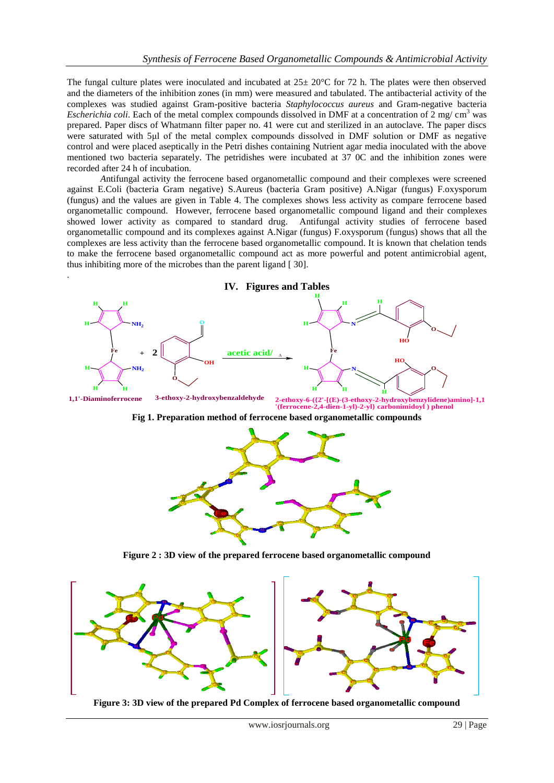The fungal culture plates were inoculated and incubated at  $25 \pm 20^{\circ}$ C for 72 h. The plates were then observed and the diameters of the inhibition zones (in mm) were measured and tabulated. The antibacterial activity of the complexes was studied against Gram-positive bacteria *Staphylococcus aureus* and Gram-negative bacteria *Escherichia coli*. Each of the metal complex compounds dissolved in DMF at a concentration of 2 mg/ cm<sup>3</sup> was prepared. Paper discs of Whatmann filter paper no. 41 were cut and sterilized in an autoclave. The paper discs were saturated with 5μl of the metal complex compounds dissolved in DMF solution or DMF as negative control and were placed aseptically in the Petri dishes containing Nutrient agar media inoculated with the above mentioned two bacteria separately. The petridishes were incubated at 37 0C and the inhibition zones were recorded after 24 h of incubation.

*A*ntifungal activity the ferrocene based organometallic compound and their complexes were screened against E.Coli (bacteria Gram negative) S.Aureus (bacteria Gram positive) A.Nigar (fungus) F.oxysporum (fungus) and the values are given in Table 4. The complexes shows less activity as compare ferrocene based organometallic compound. However, ferrocene based organometallic compound ligand and their complexes showed lower activity as compared to standard drug. Antifungal activity studies of ferrocene based organometallic compound and its complexes against A.Nigar (fungus) F.oxysporum (fungus) shows that all the complexes are less activity than the ferrocene based organometallic compound. It is known that chelation tends to make the ferrocene based organometallic compound act as more powerful and potent antimicrobial agent, thus inhibiting more of the microbes than the parent ligand [ 30].

.



**Figure 3: 3D view of the prepared Pd Complex of ferrocene based organometallic compound**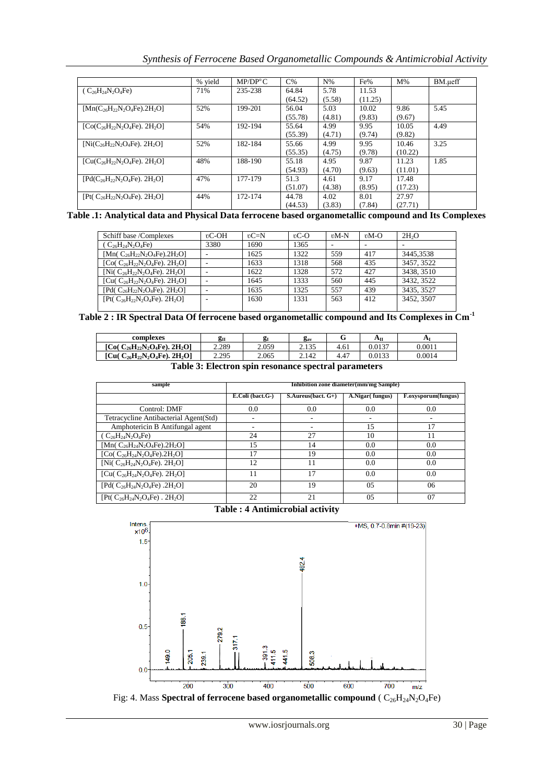*Synthesis of Ferrocene Based Organometallic Compounds & Antimicrobial Activity*

|                                                   | % vield | MP/DP <sup>o</sup> C | $C\%$   | $N\%$  | Fe%     | $M\%$   | BM.ueff |
|---------------------------------------------------|---------|----------------------|---------|--------|---------|---------|---------|
| $(C_{26}H_{24}N_2O_4Fe)$                          | 71%     | 235-238              | 64.84   | 5.78   | 11.53   |         |         |
|                                                   |         |                      | (64.52) | (5.58) | (11.25) |         |         |
| $[Mn(C_{26}H_{22}N_{2}O_{4}Fe).2H_{2}O]$          | 52%     | 199-201              | 56.04   | 5.03   | 10.02   | 9.86    | 5.45    |
|                                                   |         |                      | (55.78) | (4.81) | (9.83)  | (9.67)  |         |
| $[Co(C_{26}H_{22}N_2O_4Fe), 2H_2O]$               | 54%     | 192-194              | 55.64   | 4.99   | 9.95    | 10.05   | 4.49    |
|                                                   |         |                      | (55.39) | (4.71) | (9.74)  | (9.82)  |         |
| $[Ni(C_{26}H_{22}N_2O_4Fe), 2H_2O]$               | 52%     | 182-184              | 55.66   | 4.99   | 9.95    | 10.46   | 3.25    |
|                                                   |         |                      | (55.35) | (4.75) | (9.78)  | (10.22) |         |
| $[Cu(C_{26}H_{22}N_2O_4Fe)$ . 2H <sub>2</sub> O]  | 48%     | 188-190              | 55.18   | 4.95   | 9.87    | 11.23   | 1.85    |
|                                                   |         |                      | (54.93) | (4.70) | (9.63)  | (11.01) |         |
| $[Pd(C_{26}H_{22}N_{2}O_{4}Fe), 2H_{2}O]$         | 47%     | 177-179              | 51.3    | 4.61   | 9.17    | 17.48   |         |
|                                                   |         |                      | (51.07) | (4.38) | (8.95)  | (17.23) |         |
| [Pt( $C_{26}H_{22}N_2O_4Fe$ ). 2H <sub>2</sub> O] | 44%     | 172-174              | 44.78   | 4.02   | 8.01    | 27.97   |         |
|                                                   |         |                      | (44.53) | (3.83) | (7.84)  | (27.71) |         |

**Table .1: Analytical data and Physical Data ferrocene based organometallic compound and Its Complexes** 

| Schiff base /Complexes                            | $\mathfrak{v}$ C-OH | $vC=N$ | $\mathbb{C}$ -O | $vM-N$ | $vM-O$ | 2H <sub>2</sub> O |
|---------------------------------------------------|---------------------|--------|-----------------|--------|--------|-------------------|
| $(C_{26}H_{24}N_2O_4Fe)$                          | 3380                | 1690   | 1365            |        |        |                   |
| $[Mn(C_{26}H_{22}N_2O_4Fe).2H_2O]$                |                     | 1625   | 1322            | 559    | 417    | 3445.3538         |
| [Co( $C_{26}H_{22}N_2O_4Fe$ ). 2H <sub>2</sub> O] |                     | 1633   | 1318            | 568    | 435    | 3457, 3522        |
| [Ni( $C_{26}H_{22}N_2O_4Fe$ ). 2H <sub>2</sub> O] |                     | 1622   | 1328            | 572    | 427    | 3438, 3510        |
| [Cu( $C_{26}H_{22}N_2O_4Fe$ ). 2H <sub>2</sub> O] |                     | 1645   | 1333            | 560    | 445    | 3432, 3522        |
| [Pd( $C_{26}H_{22}N_2O_4Fe$ ). 2H <sub>2</sub> O] |                     | 1635   | 1325            | 557    | 439    | 3435, 3527        |
| $[Pt(C_{26}H_{22}N_2O_4Fe), 2H_2O]$               |                     | 1630   | 1331            | 563    | 412    | 3452, 3507        |
|                                                   |                     |        |                 |        |        |                   |

Table 2 : IR Spectral Data Of ferrocene based organometallic compound and Its Complexes in Cm<sup>-1</sup>

| complexes                                         | gп    | σ.<br>- | $\mathbf{g}_{\text{av}}$ | ີ    | Αп     | A      |
|---------------------------------------------------|-------|---------|--------------------------|------|--------|--------|
| [Co( $C_{26}H_{22}N_2O_4Fe$ ). 2H <sub>2</sub> O] | 2.289 | 2.059   | 125<br>ر د ۲۰۱           | 4.61 | 0.0137 | 0.0011 |
| [Cu( $C_{26}H_{22}N_2O_4Fe$ ), 2H <sub>2</sub> O] | 2.295 | 2.065   | 2.142                    | 4.47 | 0.0133 | 0.0014 |

**Table 3: Electron spin resonance spectral parameters**

| sample                                            | Inhibition zone diameter(mm/mg Sample) |                               |                  |                     |  |  |  |
|---------------------------------------------------|----------------------------------------|-------------------------------|------------------|---------------------|--|--|--|
|                                                   | $E.Coli$ (bact. $G-$ )                 | $S$ . Aureus (bact. $G_{+}$ ) | A.Nigar (fungus) | F.oxysporum(fungus) |  |  |  |
| Control: DMF                                      | 0.0                                    | 0.0                           | 0.0              | 0.0                 |  |  |  |
| Tetracycline Antibacterial Agent(Std)             |                                        |                               |                  |                     |  |  |  |
| Amphotericin B Antifungal agent                   |                                        |                               | 15               | 17                  |  |  |  |
| $(C_{26}H_{24}N_2O_4Fe)$                          | 24                                     | 27                            | 10               | 11                  |  |  |  |
| [Mn( $C_{26}H_{24}N_2O_4Fe$ ).2H <sub>2</sub> O]  | 15                                     | 14                            | 0.0              | 0.0                 |  |  |  |
| [Co( $C_{26}H_{24}N_2O_4Fe$ ).2H <sub>2</sub> O]  | 17                                     | 19                            | 0.0              | 0.0                 |  |  |  |
| [Ni( $C_{26}H_{24}N_2O_4Fe$ ). 2H <sub>2</sub> O] | 12                                     | 11                            | 0.0              | 0.0                 |  |  |  |
| [Cu( $C_{26}H_{24}N_2O_4Fe$ ). 2H <sub>2</sub> O] | 11                                     | 17                            | 0.0              | 0.0                 |  |  |  |
| [Pd( $C_{26}H_{24}N_2O_4Fe$ ).2H <sub>2</sub> O]  | 20                                     | 19                            | 05               | 06                  |  |  |  |
| $[Pt(C_{26}H_{24}N_2O_4Fe) . 2H_2O]$              | 22                                     | 21                            | 05               | 07                  |  |  |  |





Fig: 4. Mass **Spectral of ferrocene based organometallic compound** (  $C_{26}H_{24}N_2O_4Fe$ )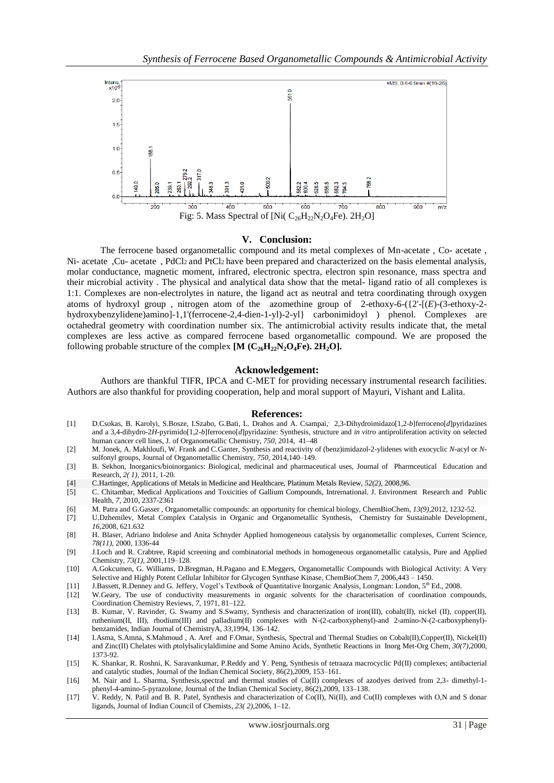

### **V. Conclusion:**

The ferrocene based organometallic compound and its metal complexes of Mn-acetate , Co- acetate , Ni- acetate ,Cu- acetate , PdCl<sub>2</sub> and PtCl<sub>2</sub> have been prepared and characterized on the basis elemental analysis, molar conductance, magnetic moment, infrared, electronic spectra, electron spin resonance, mass spectra and their microbial activity . The physical and analytical data show that the metal- ligand ratio of all complexes is 1:1. Complexes are non-electrolytes in nature, the ligand act as neutral and tetra coordinating through oxygen atoms of hydroxyl group , nitrogen atom of the azomethine group of 2-ethoxy-6-({2'-[(*E*)-(3-ethoxy-2 hydroxybenzylidene)amino]-1,1'(ferrocene-2,4-dien-1-yl)-2-yl} carbonimidoyl ) phenol. Complexes are octahedral geometry with coordination number six. The antimicrobial activity results indicate that, the metal complexes are less active as compared ferrocene based organometallic compound. We are proposed the following probable structure of the complex  $[M (C_{26}H_{22}N_2O_4Fe)$ . 2H<sub>2</sub>O].

#### **Acknowledgement:**

Authors are thankful TIFR, IPCA and C-MET for providing necessary instrumental research facilities. Authors are also thankful for providing cooperation, help and moral support of Mayuri, Vishant and Lalita.

#### **References:**

- [1] [D.Csokas,](http://www.sciencedirect.com/science/article/pii/S0022328X13007973) B. [Karolyi, S.Bosze, I.Szabo, G.Bati,](http://www.sciencedirect.com/science/article/pii/S0022328X13007973) L. [Drahos](http://www.sciencedirect.com/science/article/pii/S0022328X13007973) and A. [Csampai,](http://www.sciencedirect.com/science/article/pii/S0022328X13007973) 2,3-Dihydroimidazo[1,2-b]ferroceno[d]pyridazines and a 3,4-dihydro-2*H*-pyrimido[1,2-*b*]ferroceno[*d*]pyridazine: Synthesis, structure and *in vitro* antiproliferation activity on selected human cancer cell lines, J. of [Organometallic](http://www.sciencedirect.com/science/journal/0022328X) Chemistry, *[750](http://www.sciencedirect.com/science/journal/0022328X/750/supp/C)*, 2014, 41–48
- [2] M. [Jonek,](http://www.sciencedirect.com/science/article/pii/S0022328X13008073) A. [Makhloufi,](http://www.sciencedirect.com/science/article/pii/S0022328X13008073) W. [Frank](http://www.sciencedirect.com/science/article/pii/S0022328X13008073) and [C.Ganter,](http://www.sciencedirect.com/science/article/pii/S0022328X13008073) Synthesis and reactivity of (benz)imidazol-2-ylidenes with exocyclic *N*-acyl or *N*sulfonyl groups, Journal of [Organometallic](http://www.sciencedirect.com/science/journal/0022328X) Chemistry, *[750](http://www.sciencedirect.com/science/journal/0022328X/750/supp/C)*, 2014,140–149.
- [3] B. Sekhon, Inorganics/bioinorganics: Biological, medicinal and pharmaceutical uses, Journal of Pharmceutical Education and Research, *2( 1)*, 2011, 1-20.
- [4] C.Hartinger, Applications of Metals in Medicine and Healthcare, Platinum Metals Review, *52(2),* 2008,96.
- [5] C. Chitambar, Medical Applications and Toxicities of Gallium Compounds, Intrernational. J. Environment Research and Public Health, *7*, 2010, 2337-2361
- [6] [M. Patra](http://www.researchgate.net/researcher/14474955_Malay_Patra/) an[d G.Gasser](http://www.researchgate.net/researcher/44883762_Gilles_Gasser/) , Organometallic compounds: an opportunity for chemical biology, [ChemBioChem,](http://www.researchgate.net/journal/1439-7633_ChemBioChem) *13(9),*2012, 1232-52.
- [7] U.Dzhemilev, Metal Complex Catalysis in Organic and Organometallic Synthesis, Chemistry for Sustainable Development, *16*,2008, 621.632
- [8] H. Blaser, Adriano Indolese and Anita Schnyder Applied homogeneous catalysis by organometallic complexes, Current Science, *78(11)*, 2000, 1336-44
- [9] J.Loch and R. Crabtree, Rapid screening and combinatorial methods in homogeneous organometallic catalysis, Pure and Applied Chemistry, *73(1)*, 2001,119–128.
- [10] A.Gokcumen, G. Williams, D.Bregman, H.Pagano and E.Meggers, Organometallic Compounds with Biological Activity: A Very Selective and Highly Potent Cellular Inhibitor for Glycogen Synthase Kinase, ChemBioChem *7*, 2006,443 – 1450.
- [11] J.Bassett, R.Denney and G. Jeffery, Vogel's Textbook of Quantitative Inorganic Analysis, Longman: London, 5<sup>th</sup> Ed., 2008.
- [12] W.Geary, The use of conductivity measurements in organic solvents for the characterisation of coordination compounds, Coordination Chemistry Reviews, *7*, 1971, 81–122.
- [13] B. Kumar, V. Ravinder, G. Swamy and S.Swamy, Synthesis and characterization of iron(III), cobalt(II), nickel (II), copper(II), ruthenium(II, III), rhodium(III) and palladium(II) complexes with N-(2-carboxyphenyl)-and 2-amino-N-(2-carboxyphenyl) benzamides, Indian Journal of ChemistryA, *33*,1994, 136–142.
- [14] I.Asma, S.Amna, S.Mahmoud , A. Aref and F.Omar, Synthesis, Spectral and Thermal Studies on Cobalt(II),Copper(II), Nickel(II) and Zinc(II) Chelates with *p*tolylsalicylaldimine and Some Amino Acids, Synthetic Reactions in Inorg Met-Org Chem, *30(7)*,2000, 1373-92.
- [15] K. Shankar, R. Roshni, K. Saravankumar, P.Reddy and Y. Peng, Synthesis of tetraaza macrocyclic Pd(II) complexes; antibacterial and catalytic studies, Journal of the Indian Chemical Society, 86(2),2009, 153–161.
- [16] M. Nair and L. Sharma, Synthesis,spectral and thermal studies of Cu(II) complexes of azodyes derived from 2,3- dimethyl-1 phenyl-4-amino-5-pyrazolone, Journal of the Indian Chemical Society, 86(2),2009, 133–138.
- [17] V. Reddy, N. Patil and B. R. Patel, Synthesis and characterization of Co(II), Ni(II), and Cu(II) complexes with O,N and S donar ligands, Journal of Indian Council of Chemists, *23( 2),*2006*,* 1–12.